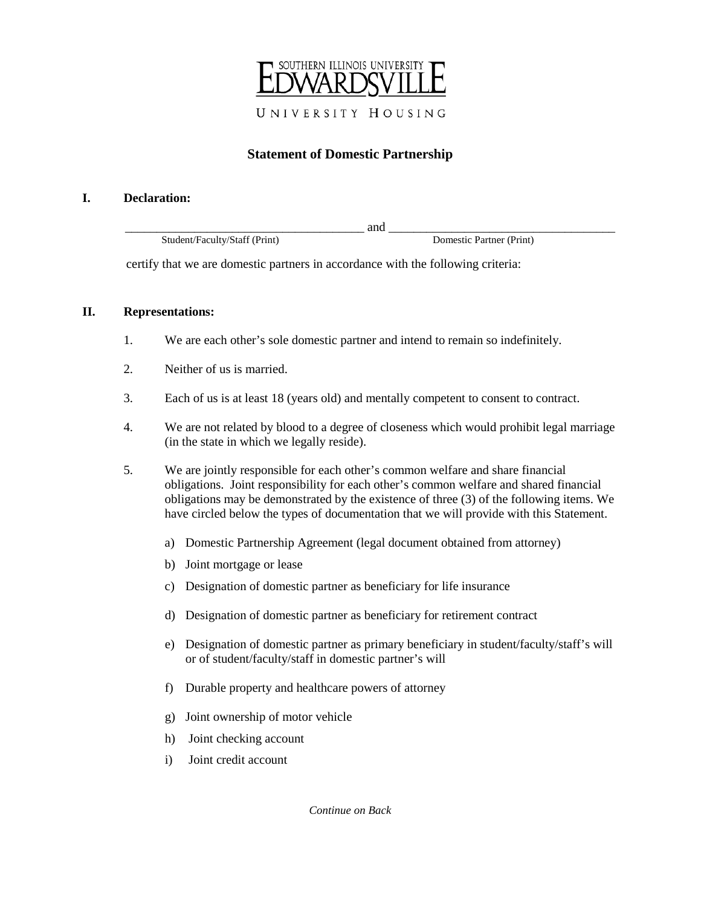

# **Statement of Domestic Partnership**

#### **I. Declaration:**

\_\_\_\_\_\_\_\_\_\_\_\_\_\_\_\_\_\_\_\_\_\_\_\_\_\_\_\_\_\_\_\_\_\_\_\_\_\_ and \_\_\_\_\_\_\_\_\_\_\_\_\_\_\_\_\_\_\_\_\_\_\_\_\_\_\_\_\_\_\_\_\_\_\_\_ Student/Faculty/Staff (Print) Domestic Partner (Print)

certify that we are domestic partners in accordance with the following criteria:

## **II. Representations:**

- 1. We are each other's sole domestic partner and intend to remain so indefinitely.
- 2. Neither of us is married.
- 3. Each of us is at least 18 (years old) and mentally competent to consent to contract.
- 4. We are not related by blood to a degree of closeness which would prohibit legal marriage (in the state in which we legally reside).
- 5. We are jointly responsible for each other's common welfare and share financial obligations. Joint responsibility for each other's common welfare and shared financial obligations may be demonstrated by the existence of three (3) of the following items. We have circled below the types of documentation that we will provide with this Statement.
	- a) Domestic Partnership Agreement (legal document obtained from attorney)
	- b) Joint mortgage or lease
	- c) Designation of domestic partner as beneficiary for life insurance
	- d) Designation of domestic partner as beneficiary for retirement contract
	- e) Designation of domestic partner as primary beneficiary in student/faculty/staff's will or of student/faculty/staff in domestic partner's will
	- f) Durable property and healthcare powers of attorney
	- g) Joint ownership of motor vehicle
	- h) Joint checking account
	- i) Joint credit account

*Continue on Back*